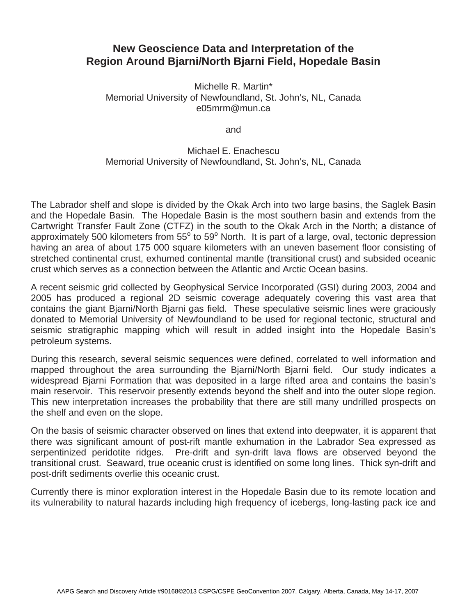## **New Geoscience Data and Interpretation of the Region Around Bjarni/North Bjarni Field, Hopedale Basin**

Michelle R. Martin\* Memorial University of Newfoundland, St. John's, NL, Canada e05mrm@mun.ca

and

## Michael E. Enachescu Memorial University of Newfoundland, St. John's, NL, Canada

The Labrador shelf and slope is divided by the Okak Arch into two large basins, the Saglek Basin and the Hopedale Basin. The Hopedale Basin is the most southern basin and extends from the Cartwright Transfer Fault Zone (CTFZ) in the south to the Okak Arch in the North; a distance of approximately 500 kilometers from 55<sup>o</sup> to 59<sup>o</sup> North. It is part of a large, oval, tectonic depression having an area of about 175 000 square kilometers with an uneven basement floor consisting of stretched continental crust, exhumed continental mantle (transitional crust) and subsided oceanic crust which serves as a connection between the Atlantic and Arctic Ocean basins.

A recent seismic grid collected by Geophysical Service Incorporated (GSI) during 2003, 2004 and 2005 has produced a regional 2D seismic coverage adequately covering this vast area that contains the giant Bjarni/North Bjarni gas field. These speculative seismic lines were graciously donated to Memorial University of Newfoundland to be used for regional tectonic, structural and seismic stratigraphic mapping which will result in added insight into the Hopedale Basin's petroleum systems.

During this research, several seismic sequences were defined, correlated to well information and mapped throughout the area surrounding the Bjarni/North Bjarni field. Our study indicates a widespread Bjarni Formation that was deposited in a large rifted area and contains the basin's main reservoir. This reservoir presently extends beyond the shelf and into the outer slope region. This new interpretation increases the probability that there are still many undrilled prospects on the shelf and even on the slope.

On the basis of seismic character observed on lines that extend into deepwater, it is apparent that there was significant amount of post-rift mantle exhumation in the Labrador Sea expressed as serpentinized peridotite ridges. Pre-drift and syn-drift lava flows are observed beyond the transitional crust. Seaward, true oceanic crust is identified on some long lines. Thick syn-drift and post-drift sediments overlie this oceanic crust.

Currently there is minor exploration interest in the Hopedale Basin due to its remote location and its vulnerability to natural hazards including high frequency of icebergs, long-lasting pack ice and